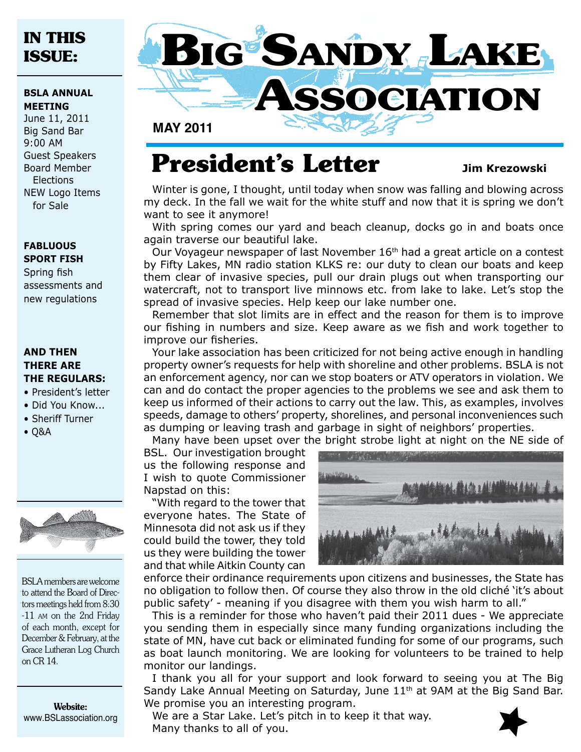# **IN THIS ISSUE:**

### **BSLA ANNUAL MEETING**

June 11, 2011 Big Sand Bar 9:00 AM Guest Speakers Board Member Elections NEW Logo Items for Sale

### **fabluous sport fish**

Spring fish assessments and new regulations

### **AND THEN THERE ARE THE REGULARS:**

- President's letter
- Did You Know...
- Sheriff Turner
- Q&A



BSLA members are welcome to attend the Board of Directors meetings held from 8:30 -11 am on the 2nd Friday of each month, except for December & February, at the Grace Lutheran Log Church on CR 14.

Website: www.BSLassociation.org



**MAy 2011**

# **President's Letter** Jim Krezowski

Winter is gone, I thought, until today when snow was falling and blowing across my deck. In the fall we wait for the white stuff and now that it is spring we don't want to see it anymore!

With spring comes our yard and beach cleanup, docks go in and boats once again traverse our beautiful lake.

Our Voyageur newspaper of last November 16<sup>th</sup> had a great article on a contest by Fifty Lakes, MN radio station KLKS re: our duty to clean our boats and keep them clear of invasive species, pull our drain plugs out when transporting our watercraft, not to transport live minnows etc. from lake to lake. Let's stop the spread of invasive species. Help keep our lake number one.

Remember that slot limits are in effect and the reason for them is to improve our fishing in numbers and size. Keep aware as we fish and work together to improve our fisheries.

Your lake association has been criticized for not being active enough in handling property owner's requests for help with shoreline and other problems. BSLA is not an enforcement agency, nor can we stop boaters or ATV operators in violation. We can and do contact the proper agencies to the problems we see and ask them to keep us informed of their actions to carry out the law. This, as examples, involves speeds, damage to others' property, shorelines, and personal inconveniences such as dumping or leaving trash and garbage in sight of neighbors' properties. Many have been upset over the bright strobe light at night on the NE side of

BSL. Our investigation brought us the following response and I wish to quote Commissioner Napstad on this:

"With regard to the tower that everyone hates. The State of Minnesota did not ask us if they could build the tower, they told us they were building the tower and that while Aitkin County can



enforce their ordinance requirements upon citizens and businesses, the State has no obligation to follow then. Of course they also throw in the old cliché 'it's about public safety' - meaning if you disagree with them you wish harm to all."

This is a reminder for those who haven't paid their 2011 dues - We appreciate you sending them in especially since many funding organizations including the state of MN, have cut back or eliminated funding for some of our programs, such as boat launch monitoring. We are looking for volunteers to be trained to help monitor our landings.

I thank you all for your support and look forward to seeing you at The Big Sandy Lake Annual Meeting on Saturday, June 11<sup>th</sup> at 9AM at the Big Sand Bar. We promise you an interesting program.

We are a Star Lake. Let's pitch in to keep it that way. Many thanks to all of you.

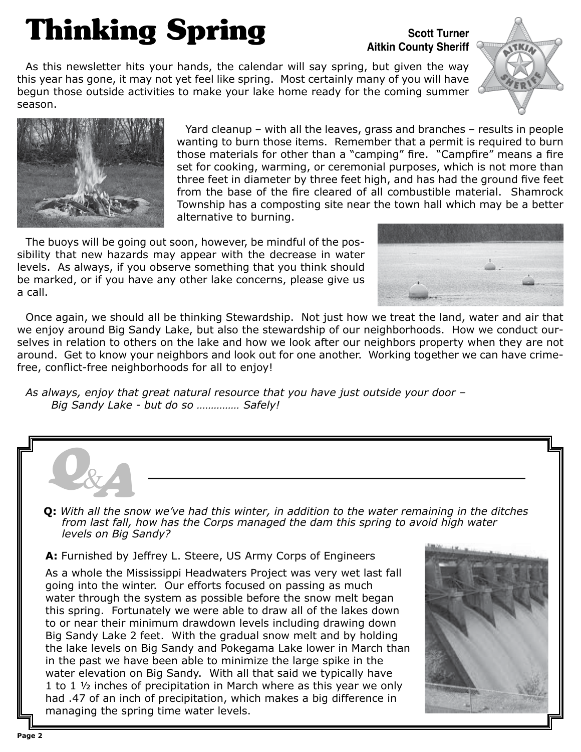# **Thinking Spring**

## **Scott Turner Aitkin County Sheriff**

As this newsletter hits your hands, the calendar will say spring, but given the way this year has gone, it may not yet feel like spring. Most certainly many of you will have begun those outside activities to make your lake home ready for the coming summer season.





Yard cleanup – with all the leaves, grass and branches – results in people wanting to burn those items. Remember that a permit is required to burn those materials for other than a "camping" fire. "Campfire" means a fire set for cooking, warming, or ceremonial purposes, which is not more than three feet in diameter by three feet high, and has had the ground five feet from the base of the fire cleared of all combustible material. Shamrock Township has a composting site near the town hall which may be a better alternative to burning.

The buoys will be going out soon, however, be mindful of the possibility that new hazards may appear with the decrease in water levels. As always, if you observe something that you think should be marked, or if you have any other lake concerns, please give us a call.



Once again, we should all be thinking Stewardship. Not just how we treat the land, water and air that we enjoy around Big Sandy Lake, but also the stewardship of our neighborhoods. How we conduct ourselves in relation to others on the lake and how we look after our neighbors property when they are not around. Get to know your neighbors and look out for one another. Working together we can have crimefree, conflict-free neighborhoods for all to enjoy!

*As always, enjoy that great natural resource that you have just outside your door – Big Sandy Lake - but do so …………… Safely!*



1 to 1 ½ inches of precipitation in March where as this year we only had .47 of an inch of precipitation, which makes a big difference in managing the spring time water levels.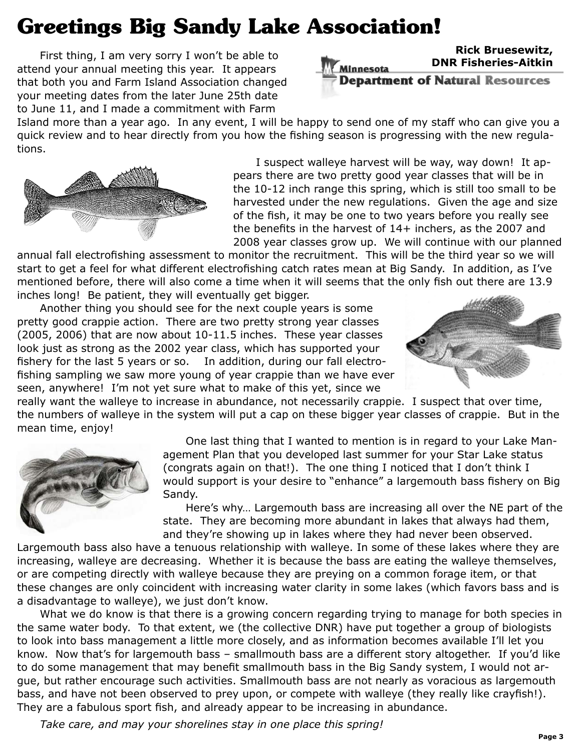# **Greetings Big Sandy Lake Association!**

First thing, I am very sorry I won't be able to attend your annual meeting this year. It appears that both you and Farm Island Association changed your meeting dates from the later June 25th date to June 11, and I made a commitment with Farm

### **Rick Bruesewitz, DNR Fisheries-Aitkin** Minnesota **Department of Natural Resources**

Island more than a year ago. In any event, I will be happy to send one of my staff who can give you a quick review and to hear directly from you how the fishing season is progressing with the new regulations.



I suspect walleye harvest will be way, way down! It appears there are two pretty good year classes that will be in the 10-12 inch range this spring, which is still too small to be harvested under the new regulations. Given the age and size of the fish, it may be one to two years before you really see the benefits in the harvest of 14+ inchers, as the 2007 and 2008 year classes grow up. We will continue with our planned

annual fall electrofishing assessment to monitor the recruitment. This will be the third year so we will start to get a feel for what different electrofishing catch rates mean at Big Sandy. In addition, as I've mentioned before, there will also come a time when it will seems that the only fish out there are 13.9 inches long! Be patient, they will eventually get bigger.

Another thing you should see for the next couple years is some pretty good crappie action. There are two pretty strong year classes (2005, 2006) that are now about 10-11.5 inches. These year classes look just as strong as the 2002 year class, which has supported your fishery for the last 5 years or so. In addition, during our fall electrofishing sampling we saw more young of year crappie than we have ever seen, anywhere! I'm not yet sure what to make of this yet, since we



really want the walleye to increase in abundance, not necessarily crappie. I suspect that over time, the numbers of walleye in the system will put a cap on these bigger year classes of crappie. But in the mean time, enjoy!



One last thing that I wanted to mention is in regard to your Lake Management Plan that you developed last summer for your Star Lake status (congrats again on that!). The one thing I noticed that I don't think I would support is your desire to "enhance" a largemouth bass fishery on Big Sandy.

Here's why… Largemouth bass are increasing all over the NE part of the state. They are becoming more abundant in lakes that always had them, and they're showing up in lakes where they had never been observed.

Largemouth bass also have a tenuous relationship with walleye. In some of these lakes where they are increasing, walleye are decreasing. Whether it is because the bass are eating the walleye themselves, or are competing directly with walleye because they are preying on a common forage item, or that these changes are only coincident with increasing water clarity in some lakes (which favors bass and is a disadvantage to walleye), we just don't know.

What we do know is that there is a growing concern regarding trying to manage for both species in the same water body. To that extent, we (the collective DNR) have put together a group of biologists to look into bass management a little more closely, and as information becomes available I'll let you know. Now that's for largemouth bass – smallmouth bass are a different story altogether. If you'd like to do some management that may benefit smallmouth bass in the Big Sandy system, I would not argue, but rather encourage such activities. Smallmouth bass are not nearly as voracious as largemouth bass, and have not been observed to prey upon, or compete with walleye (they really like crayfish!). They are a fabulous sport fish, and already appear to be increasing in abundance.

*Take care, and may your shorelines stay in one place this spring!*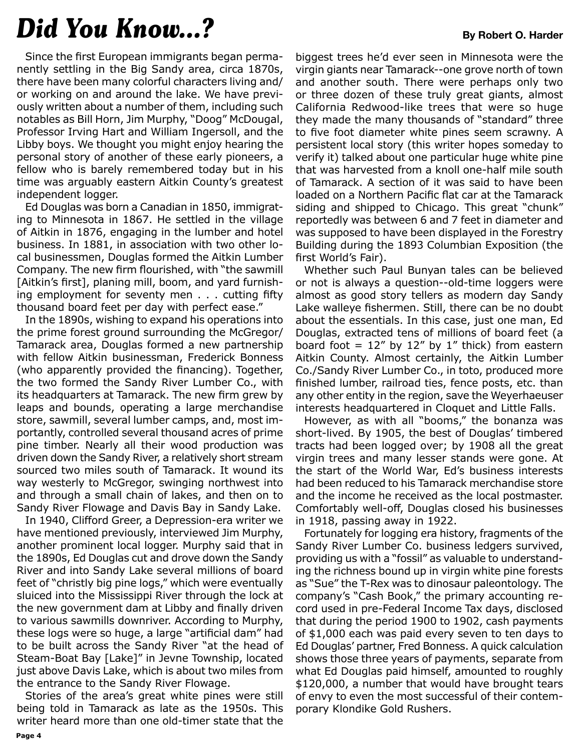# *Did You Know...?* **By Robert O. Harder**

Since the first European immigrants began permanently settling in the Big Sandy area, circa 1870s, there have been many colorful characters living and/ or working on and around the lake. We have previously written about a number of them, including such notables as Bill Horn, Jim Murphy, "Doog" McDougal, Professor Irving Hart and William Ingersoll, and the Libby boys. We thought you might enjoy hearing the personal story of another of these early pioneers, a fellow who is barely remembered today but in his time was arguably eastern Aitkin County's greatest independent logger.

Ed Douglas was born a Canadian in 1850, immigrating to Minnesota in 1867. He settled in the village of Aitkin in 1876, engaging in the lumber and hotel business. In 1881, in association with two other local businessmen, Douglas formed the Aitkin Lumber Company. The new firm flourished, with "the sawmill [Aitkin's first], planing mill, boom, and yard furnishing employment for seventy men . . . cutting fifty thousand board feet per day with perfect ease."

In the 1890s, wishing to expand his operations into the prime forest ground surrounding the McGregor/ Tamarack area, Douglas formed a new partnership with fellow Aitkin businessman, Frederick Bonness (who apparently provided the financing). Together, the two formed the Sandy River Lumber Co., with its headquarters at Tamarack. The new firm grew by leaps and bounds, operating a large merchandise store, sawmill, several lumber camps, and, most importantly, controlled several thousand acres of prime pine timber. Nearly all their wood production was driven down the Sandy River, a relatively short stream sourced two miles south of Tamarack. It wound its way westerly to McGregor, swinging northwest into and through a small chain of lakes, and then on to Sandy River Flowage and Davis Bay in Sandy Lake.

In 1940, Clifford Greer, a Depression-era writer we have mentioned previously, interviewed Jim Murphy, another prominent local logger. Murphy said that in the 1890s, Ed Douglas cut and drove down the Sandy River and into Sandy Lake several millions of board feet of "christly big pine logs," which were eventually sluiced into the Mississippi River through the lock at the new government dam at Libby and finally driven to various sawmills downriver. According to Murphy, these logs were so huge, a large "artificial dam" had to be built across the Sandy River "at the head of Steam-Boat Bay [Lake]" in Jevne Township, located just above Davis Lake, which is about two miles from the entrance to the Sandy River Flowage.

Stories of the area's great white pines were still being told in Tamarack as late as the 1950s. This writer heard more than one old-timer state that the

biggest trees he'd ever seen in Minnesota were the virgin giants near Tamarack--one grove north of town and another south. There were perhaps only two or three dozen of these truly great giants, almost California Redwood-like trees that were so huge they made the many thousands of "standard" three to five foot diameter white pines seem scrawny. A persistent local story (this writer hopes someday to verify it) talked about one particular huge white pine that was harvested from a knoll one-half mile south of Tamarack. A section of it was said to have been loaded on a Northern Pacific flat car at the Tamarack siding and shipped to Chicago. This great "chunk" reportedly was between 6 and 7 feet in diameter and was supposed to have been displayed in the Forestry Building during the 1893 Columbian Exposition (the first World's Fair).

Whether such Paul Bunyan tales can be believed or not is always a question--old-time loggers were almost as good story tellers as modern day Sandy Lake walleye fishermen. Still, there can be no doubt about the essentials. In this case, just one man, Ed Douglas, extracted tens of millions of board feet (a board foot =  $12''$  by  $12''$  by  $1''$  thick) from eastern Aitkin County. Almost certainly, the Aitkin Lumber Co./Sandy River Lumber Co., in toto, produced more finished lumber, railroad ties, fence posts, etc. than any other entity in the region, save the Weyerhaeuser interests headquartered in Cloquet and Little Falls.

However, as with all "booms," the bonanza was short-lived. By 1905, the best of Douglas' timbered tracts had been logged over; by 1908 all the great virgin trees and many lesser stands were gone. At the start of the World War, Ed's business interests had been reduced to his Tamarack merchandise store and the income he received as the local postmaster. Comfortably well-off, Douglas closed his businesses in 1918, passing away in 1922.

Fortunately for logging era history, fragments of the Sandy River Lumber Co. business ledgers survived, providing us with a "fossil" as valuable to understanding the richness bound up in virgin white pine forests as "Sue" the T-Rex was to dinosaur paleontology. The company's "Cash Book," the primary accounting record used in pre-Federal Income Tax days, disclosed that during the period 1900 to 1902, cash payments of \$1,000 each was paid every seven to ten days to Ed Douglas' partner, Fred Bonness. A quick calculation shows those three years of payments, separate from what Ed Douglas paid himself, amounted to roughly \$120,000, a number that would have brought tears of envy to even the most successful of their contemporary Klondike Gold Rushers.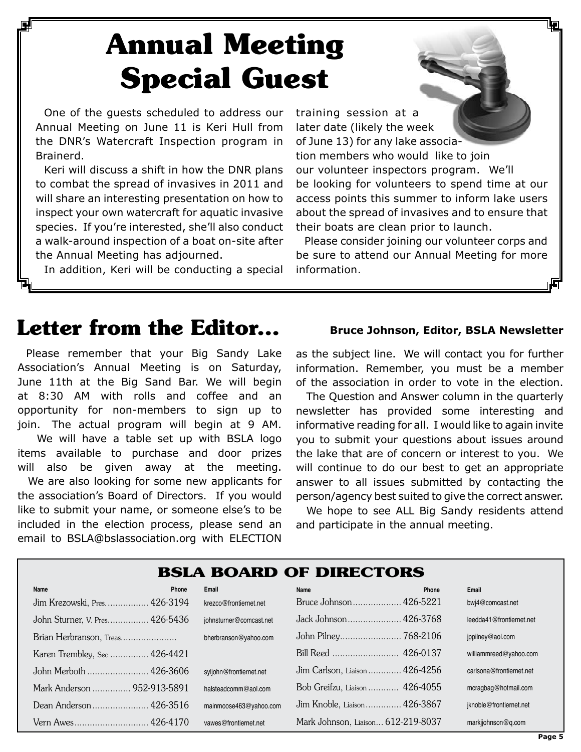# **Annual Meeting Special Guest**

One of the guests scheduled to address our Annual Meeting on June 11 is Keri Hull from the DNR's Watercraft Inspection program in Brainerd.

Keri will discuss a shift in how the DNR plans to combat the spread of invasives in 2011 and will share an interesting presentation on how to inspect your own watercraft for aquatic invasive species. If you're interested, she'll also conduct a walk-around inspection of a boat on-site after the Annual Meeting has adjourned.

In addition, Keri will be conducting a special

training session at a later date (likely the week of June 13) for any lake association members who would like to join our volunteer inspectors program. We'll be looking for volunteers to spend time at our access points this summer to inform lake users about the spread of invasives and to ensure that their boats are clean prior to launch.

Please consider joining our volunteer corps and be sure to attend our Annual Meeting for more information.

# Letter from the Editor... Bruce Johnson, Editor, BSLA Newsletter

Please remember that your Big Sandy Lake Association's Annual Meeting is on Saturday, June 11th at the Big Sand Bar. We will begin at 8:30 AM with rolls and coffee and an opportunity for non-members to sign up to join. The actual program will begin at 9 AM.

 We will have a table set up with BSLA logo items available to purchase and door prizes will also be given away at the meeting.

We are also looking for some new applicants for the association's Board of Directors. If you would like to submit your name, or someone else's to be included in the election process, please send an email to BSLA@bslassociation.org with ELECTION

as the subject line. We will contact you for further information. Remember, you must be a member of the association in order to vote in the election.

The Question and Answer column in the quarterly newsletter has provided some interesting and informative reading for all. I would like to again invite you to submit your questions about issues around the lake that are of concern or interest to you. We will continue to do our best to get an appropriate answer to all issues submitted by contacting the person/agency best suited to give the correct answer.

We hope to see ALL Big Sandy residents attend and participate in the annual meeting.

## **BSLA Board of Directors**

| Name                           | <b>Phone</b> | Email                   | Name                               | Phone | Email                    |
|--------------------------------|--------------|-------------------------|------------------------------------|-------|--------------------------|
| Jim Krezowski, Pres.  426-3194 |              | krezco@frontiernet.net  | Bruce Johnson 426-5221             |       | bwi4@comcast.net         |
| John Sturner, V. Pres 426-5436 |              | johnsturner@comcast.net | Jack Johnson 426-3768              |       | leedda41@frontiernet.net |
| Brian Herbranson, Treas        |              | bherbranson@yahoo.com   |                                    |       | jppilney@aol.com         |
| Karen Trembley, Sec 426-4421   |              |                         |                                    |       | williammreed@yahoo.com   |
| John Merboth  426-3606         |              | syljohn@frontiernet.net | Jim Carlson, Liaison 426-4256      |       | carlsona@frontiernet.net |
| Mark Anderson  952-913-5891    |              | halsteadcomm@aol.com    | Bob Greifzu, Liaison  426-4055     |       | mcragbag@hotmail.com     |
|                                |              | mainmoose463@yahoo.com  | Jim Knoble, Liaison 426-3867       |       | jknoble@frontiernet.net  |
| Vern Awes 426-4170             |              | vawes@frontiernet.net   | Mark Johnson, Liaison 612-219-8037 |       | markjjohnson@g.com       |